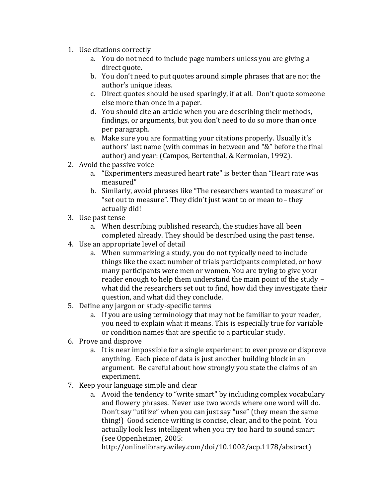- 1. Use citations correctly
	- a. You do not need to include page numbers unless you are giving a direct quote.
	- b. You don't need to put quotes around simple phrases that are not the author's unique ideas.
	- c. Direct quotes should be used sparingly, if at all. Don't quote someone else more than once in a paper.
	- d. You should cite an article when you are describing their methods, findings, or arguments, but you don't need to do so more than once per paragraph.
	- e. Make sure you are formatting your citations properly. Usually it's authors' last name (with commas in between and "&" before the final author) and year: (Campos, Bertenthal, & Kermoian, 1992).
- 2. Avoid the passive voice
	- a. "Experimenters measured heart rate" is better than "Heart rate was measured"
	- b. Similarly, avoid phrases like "The researchers wanted to measure" or "set out to measure". They didn't just want to or mean to– they actually did!
- 3. Use past tense
	- a. When describing published research, the studies have all been completed already. They should be described using the past tense.
- 4. Use an appropriate level of detail
	- a. When summarizing a study, you do not typically need to include things like the exact number of trials participants completed, or how many participants were men or women. You are trying to give your reader enough to help them understand the main point of the study – what did the researchers set out to find, how did they investigate their question, and what did they conclude.
- 5. Define any jargon or study-specific terms
	- a. If you are using terminology that may not be familiar to your reader, you need to explain what it means. This is especially true for variable or condition names that are specific to a particular study.
- 6. Prove and disprove
	- a. It is near impossible for a single experiment to ever prove or disprove anything. Each piece of data is just another building block in an argument. Be careful about how strongly you state the claims of an experiment.
- 7. Keep your language simple and clear
	- a. Avoid the tendency to "write smart" by including complex vocabulary and flowery phrases. Never use two words where one word will do. Don't say "utilize" when you can just say "use" (they mean the same thing!) Good science writing is concise, clear, and to the point. You actually look less intelligent when you try too hard to sound smart (see Oppenheimer, 2005:

http://onlinelibrary.wiley.com/doi/10.1002/acp.1178/abstract)